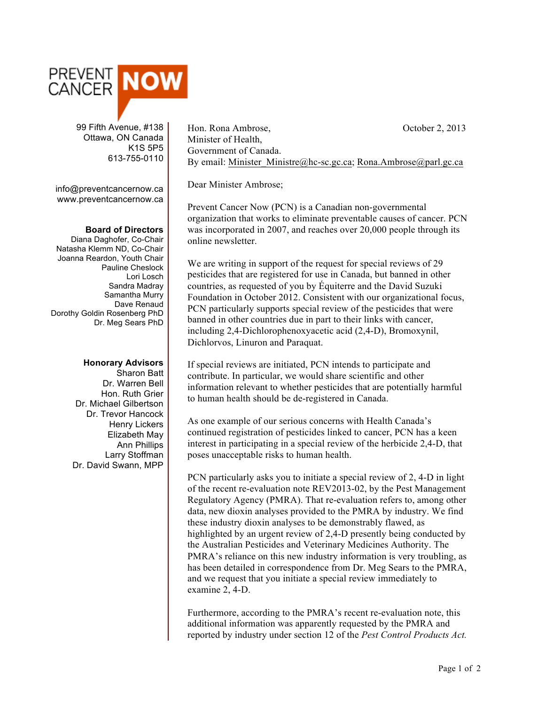

 99 Fifth Avenue, #138 Ottawa, ON Canada K1S 5P5 613-755-0110

info@preventcancernow.ca www.preventcancernow.ca

## **Board of Directors**

Diana Daghofer, Co-Chair Natasha Klemm ND, Co-Chair Joanna Reardon, Youth Chair Pauline Cheslock Lori Losch Sandra Madray Samantha Murry Dave Renaud Dorothy Goldin Rosenberg PhD Dr. Meg Sears PhD

## **Honorary Advisors**

Sharon Batt Dr. Warren Bell Hon. Ruth Grier Dr. Michael Gilbertson Dr. Trevor Hancock Henry Lickers Elizabeth May Ann Phillips Larry Stoffman Dr. David Swann, MPP

Hon. Rona Ambrose, October 2, 2013 Minister of Health, Government of Canada. By email: Minister\_Ministre@hc-sc.gc.ca; Rona.Ambrose@parl.gc.ca

Dear Minister Ambrose;

Prevent Cancer Now (PCN) is a Canadian non-governmental organization that works to eliminate preventable causes of cancer. PCN was incorporated in 2007, and reaches over 20,000 people through its online newsletter.

We are writing in support of the request for special reviews of 29 pesticides that are registered for use in Canada, but banned in other countries, as requested of you by Équiterre and the David Suzuki Foundation in October 2012. Consistent with our organizational focus, PCN particularly supports special review of the pesticides that were banned in other countries due in part to their links with cancer, including 2,4-Dichlorophenoxyacetic acid (2,4-D), Bromoxynil, Dichlorvos, Linuron and Paraquat.

If special reviews are initiated, PCN intends to participate and contribute. In particular, we would share scientific and other information relevant to whether pesticides that are potentially harmful to human health should be de-registered in Canada.

As one example of our serious concerns with Health Canada's continued registration of pesticides linked to cancer, PCN has a keen interest in participating in a special review of the herbicide 2,4-D, that poses unacceptable risks to human health.

PCN particularly asks you to initiate a special review of 2, 4-D in light of the recent re-evaluation note REV2013-02, by the Pest Management Regulatory Agency (PMRA). That re-evaluation refers to, among other data, new dioxin analyses provided to the PMRA by industry. We find these industry dioxin analyses to be demonstrably flawed, as highlighted by an urgent review of 2,4-D presently being conducted by the Australian Pesticides and Veterinary Medicines Authority. The PMRA's reliance on this new industry information is very troubling, as has been detailed in correspondence from Dr. Meg Sears to the PMRA, and we request that you initiate a special review immediately to examine 2, 4-D.

Furthermore, according to the PMRA's recent re-evaluation note, this additional information was apparently requested by the PMRA and reported by industry under section 12 of the *Pest Control Products Act.*